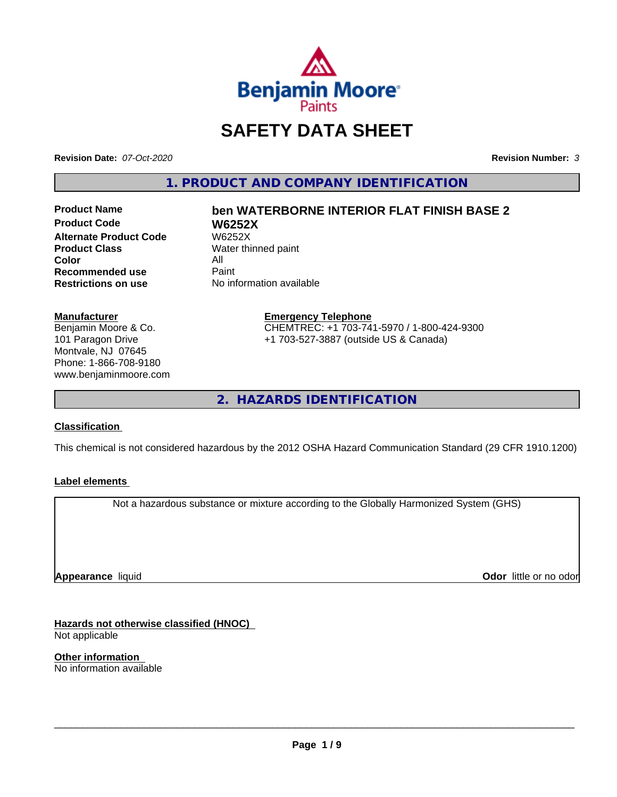

# **SAFETY DATA SHEET**

**Revision Date:** *07-Oct-2020* **Revision Number:** *3*

**1. PRODUCT AND COMPANY IDENTIFICATION**

**Product Code W6252X Alternate Product Code**<br>Product Class **Color** All<br> **Recommended use** Paint **Recommended use**<br>Restrictions on use

# **Product Name ben WATERBORNE INTERIOR FLAT FINISH BASE 2**

**Water thinned paint No information available** 

#### **Manufacturer**

Benjamin Moore & Co. 101 Paragon Drive Montvale, NJ 07645 Phone: 1-866-708-9180 www.benjaminmoore.com

#### **Emergency Telephone** CHEMTREC: +1 703-741-5970 / 1-800-424-9300 +1 703-527-3887 (outside US & Canada)

**2. HAZARDS IDENTIFICATION**

#### **Classification**

This chemical is not considered hazardous by the 2012 OSHA Hazard Communication Standard (29 CFR 1910.1200)

### **Label elements**

Not a hazardous substance or mixture according to the Globally Harmonized System (GHS)

**Appearance** liquid

**Odor** little or no odor

**Hazards not otherwise classified (HNOC)** Not applicable

**Other information** No information available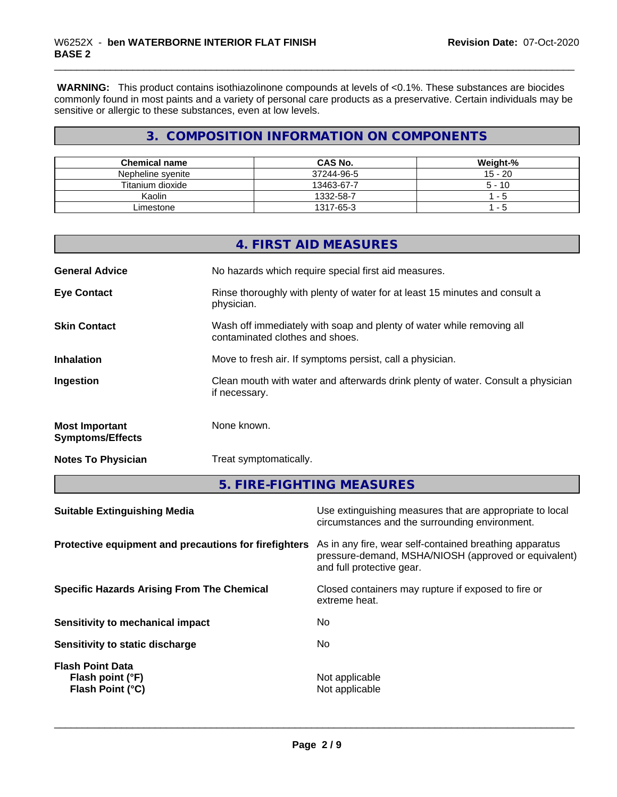**WARNING:** This product contains isothiazolinone compounds at levels of <0.1%. These substances are biocides commonly found in most paints and a variety of personal care products as a preservative. Certain individuals may be sensitive or allergic to these substances, even at low levels.

### **3. COMPOSITION INFORMATION ON COMPONENTS**

| <b>Chemical name</b> | <b>CAS No.</b> | Weight-%  |
|----------------------|----------------|-----------|
| Nepheline svenite    | 37244-96-5     | $15 - 20$ |
| Titanium dioxide     | 13463-67-7     | $5 - 10$  |
| Kaolin               | 1332-58-7      | - 5       |
| _imestone            | 1317-65-3      | - 5       |

|                                                  | 4. FIRST AID MEASURES                                                                                    |
|--------------------------------------------------|----------------------------------------------------------------------------------------------------------|
| <b>General Advice</b>                            | No hazards which require special first aid measures.                                                     |
| <b>Eye Contact</b>                               | Rinse thoroughly with plenty of water for at least 15 minutes and consult a<br>physician.                |
| <b>Skin Contact</b>                              | Wash off immediately with soap and plenty of water while removing all<br>contaminated clothes and shoes. |
| <b>Inhalation</b>                                | Move to fresh air. If symptoms persist, call a physician.                                                |
| Ingestion                                        | Clean mouth with water and afterwards drink plenty of water. Consult a physician<br>if necessary.        |
| <b>Most Important</b><br><b>Symptoms/Effects</b> | None known.                                                                                              |
| <b>Notes To Physician</b>                        | Treat symptomatically.                                                                                   |

**5. FIRE-FIGHTING MEASURES**

| <b>Suitable Extinguishing Media</b>                             | Use extinguishing measures that are appropriate to local<br>circumstances and the surrounding environment.                                   |
|-----------------------------------------------------------------|----------------------------------------------------------------------------------------------------------------------------------------------|
| Protective equipment and precautions for firefighters           | As in any fire, wear self-contained breathing apparatus<br>pressure-demand, MSHA/NIOSH (approved or equivalent)<br>and full protective gear. |
| <b>Specific Hazards Arising From The Chemical</b>               | Closed containers may rupture if exposed to fire or<br>extreme heat.                                                                         |
| Sensitivity to mechanical impact                                | No.                                                                                                                                          |
| Sensitivity to static discharge                                 | No                                                                                                                                           |
| <b>Flash Point Data</b><br>Flash point (°F)<br>Flash Point (°C) | Not applicable<br>Not applicable                                                                                                             |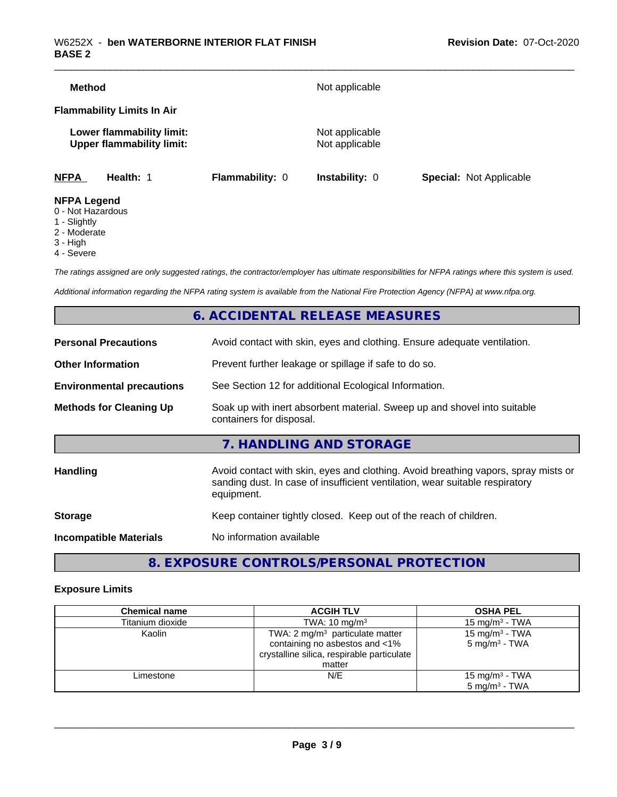| <b>Method</b>                                                          |                        | Not applicable                   |                                |
|------------------------------------------------------------------------|------------------------|----------------------------------|--------------------------------|
| <b>Flammability Limits In Air</b>                                      |                        |                                  |                                |
| Lower flammability limit:<br><b>Upper flammability limit:</b>          |                        | Not applicable<br>Not applicable |                                |
| <b>NFPA</b><br>Health: 1                                               | <b>Flammability: 0</b> | <b>Instability: 0</b>            | <b>Special: Not Applicable</b> |
| <b>NFPA Legend</b><br>$\sim$ $\sim$ $\sim$ $\sim$ $\sim$ $\sim$ $\sim$ |                        |                                  |                                |

- 0 Not Hazardous
- 1 Slightly
- 2 Moderate
- 3 High
- 4 Severe

*The ratings assigned are only suggested ratings, the contractor/employer has ultimate responsibilities for NFPA ratings where this system is used.*

*Additional information regarding the NFPA rating system is available from the National Fire Protection Agency (NFPA) at www.nfpa.org.*

### **6. ACCIDENTAL RELEASE MEASURES**

| <b>Personal Precautions</b>      | Avoid contact with skin, eyes and clothing. Ensure adequate ventilation.                                                                                                         |
|----------------------------------|----------------------------------------------------------------------------------------------------------------------------------------------------------------------------------|
| <b>Other Information</b>         | Prevent further leakage or spillage if safe to do so.                                                                                                                            |
| <b>Environmental precautions</b> | See Section 12 for additional Ecological Information.                                                                                                                            |
| <b>Methods for Cleaning Up</b>   | Soak up with inert absorbent material. Sweep up and shovel into suitable<br>containers for disposal.                                                                             |
|                                  | 7. HANDLING AND STORAGE                                                                                                                                                          |
| Handling                         | Avoid contact with skin, eyes and clothing. Avoid breathing vapors, spray mists or<br>sanding dust. In case of insufficient ventilation, wear suitable respiratory<br>equipment. |
| <b>Storage</b>                   | Keep container tightly closed. Keep out of the reach of children.                                                                                                                |
| <b>Incompatible Materials</b>    | No information available                                                                                                                                                         |
|                                  |                                                                                                                                                                                  |

### **8. EXPOSURE CONTROLS/PERSONAL PROTECTION**

#### **Exposure Limits**

| <b>Chemical name</b> | <b>ACGIH TLV</b>                           | <b>OSHA PEL</b>            |
|----------------------|--------------------------------------------|----------------------------|
| Titanium dioxide     | TWA: $10 \text{ mg/m}^3$                   | $15 \text{ mg/m}^3$ - TWA  |
| Kaolin               | TWA: $2 \text{ mg/m}^3$ particulate matter | 15 mg/m $3$ - TWA          |
|                      | containing no asbestos and <1%             | $5 \text{ mg/m}^3$ - TWA   |
|                      | crystalline silica, respirable particulate |                            |
|                      | matter                                     |                            |
| Limestone            | N/E                                        | 15 mg/m <sup>3</sup> - TWA |
|                      |                                            | $5 \text{ ma/m}^3$ - TWA   |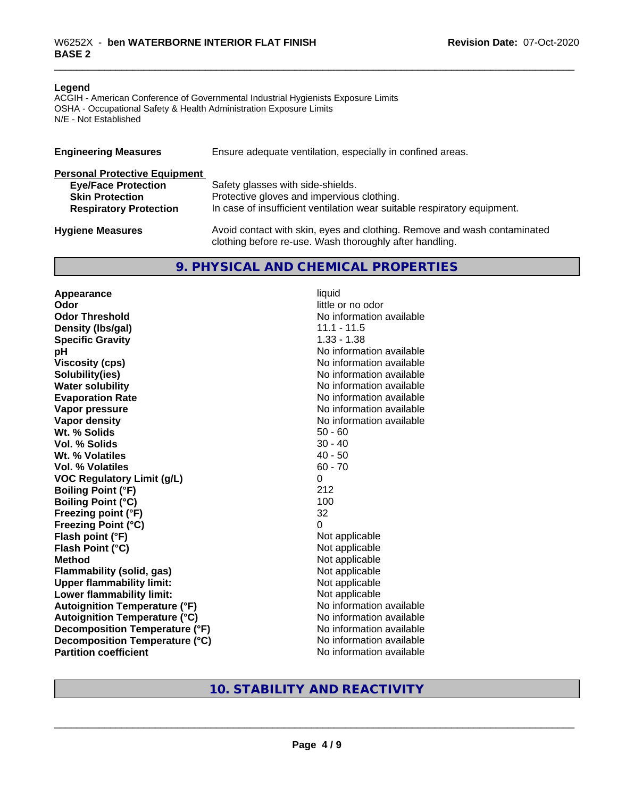#### **Legend**

ACGIH - American Conference of Governmental Industrial Hygienists Exposure Limits OSHA - Occupational Safety & Health Administration Exposure Limits N/E - Not Established

| <b>Engineering Measures</b>          | Ensure adequate ventilation, especially in confined areas.                                                                          |
|--------------------------------------|-------------------------------------------------------------------------------------------------------------------------------------|
| <b>Personal Protective Equipment</b> |                                                                                                                                     |
| <b>Eye/Face Protection</b>           | Safety glasses with side-shields.                                                                                                   |
| <b>Skin Protection</b>               | Protective gloves and impervious clothing.                                                                                          |
| <b>Respiratory Protection</b>        | In case of insufficient ventilation wear suitable respiratory equipment.                                                            |
| <b>Hygiene Measures</b>              | Avoid contact with skin, eyes and clothing. Remove and wash contaminated<br>clothing before re-use. Wash thoroughly after handling. |

#### **9. PHYSICAL AND CHEMICAL PROPERTIES**

**Appearance** liquid **Odor** little or no odor **Odor Threshold No information available No information available Density (lbs/gal)** 11.1 - 11.5 **Specific Gravity** 1.33 - 1.38 **pH pH**  $\blacksquare$ **Viscosity (cps)** No information available **Solubility(ies)** No information available **Water solubility** No information available **Evaporation Rate No information available No information available Vapor pressure** No information available **No information available Vapor density**<br> **We Solids**<br>
We Solids
2019<br>
Me Solids
2019 Wt. % Solids **Vol. % Solids** 30 - 40 **Wt. % Volatiles** 40 - 50<br> **Vol. % Volatiles** 60 - 70 **Vol. % Volatiles VOC Regulatory Limit (g/L)** 0 **Boiling Point (°F)** 212 **Boiling Point (°C)** 100 **Freezing point (°F)** 32 **Freezing Point (°C)** 0 **Flash point (°F)**<br> **Flash Point (°C)**<br> **Flash Point (°C)**<br> **Not** applicable<br>
Not applicable **Flash Point (°C)**<br>Method **Flammability (solid, gas)**<br> **Upper flammability limit:**<br>
Upper flammability limit:<br>
Not applicable **Upper flammability limit:**<br> **Lower flammability limit:**<br>
Not applicable<br>
Not applicable **Lower flammability limit: Autoignition Temperature (°F)** No information available **Autoignition Temperature (°C)** No information available **Decomposition Temperature (°F)** No information available **Decomposition Temperature (°C)** No information available **Partition coefficient** No information available

**Not applicable** 

### **10. STABILITY AND REACTIVITY**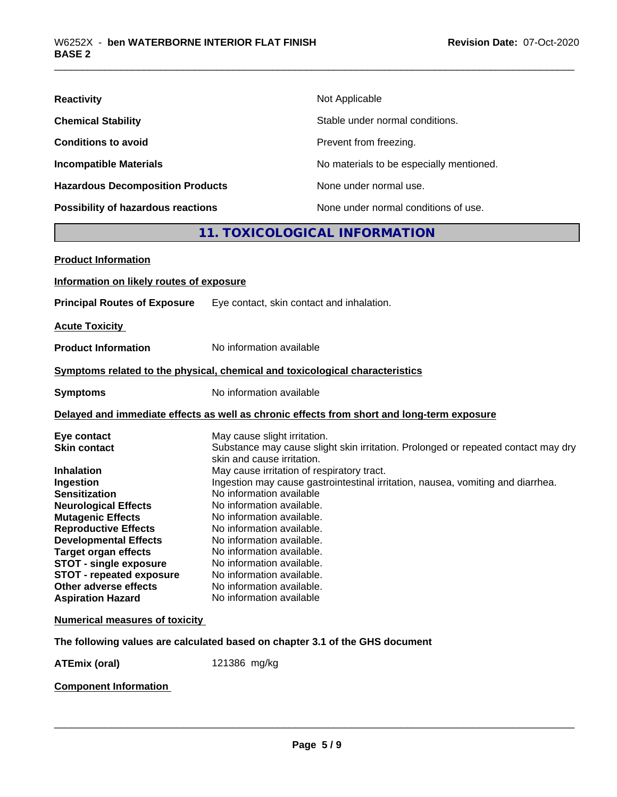| <b>Reactivity</b>                         | Not Applicable                           |
|-------------------------------------------|------------------------------------------|
| <b>Chemical Stability</b>                 | Stable under normal conditions.          |
| <b>Conditions to avoid</b>                | Prevent from freezing.                   |
| <b>Incompatible Materials</b>             | No materials to be especially mentioned. |
| <b>Hazardous Decomposition Products</b>   | None under normal use.                   |
| <b>Possibility of hazardous reactions</b> | None under normal conditions of use.     |

### **11. TOXICOLOGICAL INFORMATION**

| <b>Product Information</b>                                   |                                                                                                                 |
|--------------------------------------------------------------|-----------------------------------------------------------------------------------------------------------------|
| Information on likely routes of exposure                     |                                                                                                                 |
| <b>Principal Routes of Exposure</b>                          | Eye contact, skin contact and inhalation.                                                                       |
| <b>Acute Toxicity</b>                                        |                                                                                                                 |
| <b>Product Information</b>                                   | No information available                                                                                        |
|                                                              | Symptoms related to the physical, chemical and toxicological characteristics                                    |
| <b>Symptoms</b>                                              | No information available                                                                                        |
|                                                              | Delayed and immediate effects as well as chronic effects from short and long-term exposure                      |
| Eye contact                                                  | May cause slight irritation.                                                                                    |
| <b>Skin contact</b>                                          | Substance may cause slight skin irritation. Prolonged or repeated contact may dry<br>skin and cause irritation. |
| <b>Inhalation</b>                                            | May cause irritation of respiratory tract.                                                                      |
| Ingestion                                                    | Ingestion may cause gastrointestinal irritation, nausea, vomiting and diarrhea.                                 |
| <b>Sensitization</b>                                         | No information available                                                                                        |
| <b>Neurological Effects</b>                                  | No information available.                                                                                       |
| <b>Mutagenic Effects</b>                                     | No information available.                                                                                       |
| <b>Reproductive Effects</b>                                  | No information available.                                                                                       |
| <b>Developmental Effects</b>                                 | No information available.                                                                                       |
| <b>Target organ effects</b><br><b>STOT - single exposure</b> | No information available.<br>No information available.                                                          |
| STOT - repeated exposure                                     | No information available.                                                                                       |
| Other adverse effects                                        | No information available.                                                                                       |
| <b>Aspiration Hazard</b>                                     | No information available                                                                                        |
| <b>Numerical measures of toxicity</b>                        |                                                                                                                 |
|                                                              | The following values are calculated based on chapter 3.1 of the GHS document                                    |
| <b>ATEmix (oral)</b>                                         | 121386 mg/kg                                                                                                    |
|                                                              |                                                                                                                 |

**Component Information**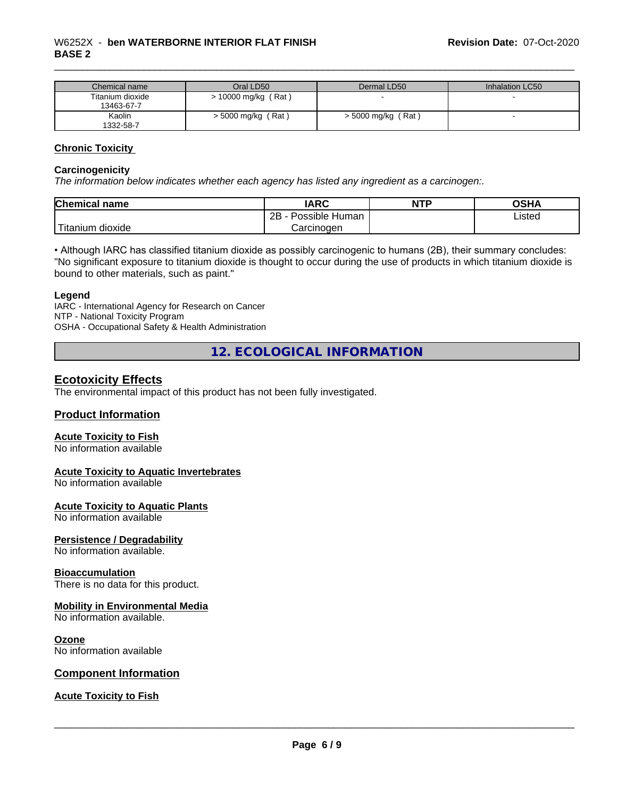| Chemical name    | Oral LD50                 | Dermal LD50          | Inhalation LC50 |
|------------------|---------------------------|----------------------|-----------------|
| Titanium dioxide | $\cdot$ 10000 mg/kg (Rat) |                      |                 |
| 13463-67-7       |                           |                      |                 |
| Kaolin           | $>$ 5000 mg/kg (Rat)      | $>$ 5000 mg/kg (Rat) |                 |
| 1332-58-7        |                           |                      |                 |

#### **Chronic Toxicity**

#### **Carcinogenicity**

*The information below indicateswhether each agency has listed any ingredient as a carcinogen:.*

| Chemical<br>∣ name | <b>IARC</b>          | <b>NTP</b> | OSHA   |
|--------------------|----------------------|------------|--------|
|                    | 2B<br>Possible Human |            | ∟isted |
| Titanium dioxide   | Carcinogen           |            |        |

• Although IARC has classified titanium dioxide as possibly carcinogenic to humans (2B), their summary concludes: "No significant exposure to titanium dioxide is thought to occur during the use of products in which titanium dioxide is bound to other materials, such as paint."

#### **Legend**

IARC - International Agency for Research on Cancer NTP - National Toxicity Program OSHA - Occupational Safety & Health Administration

**12. ECOLOGICAL INFORMATION**

### **Ecotoxicity Effects**

The environmental impact of this product has not been fully investigated.

#### **Product Information**

#### **Acute Toxicity to Fish**

No information available

#### **Acute Toxicity to Aquatic Invertebrates**

No information available

#### **Acute Toxicity to Aquatic Plants**

No information available

#### **Persistence / Degradability**

No information available.

#### **Bioaccumulation**

There is no data for this product.

#### **Mobility in Environmental Media**

No information available.

#### **Ozone**

No information available

#### **Component Information**

#### **Acute Toxicity to Fish**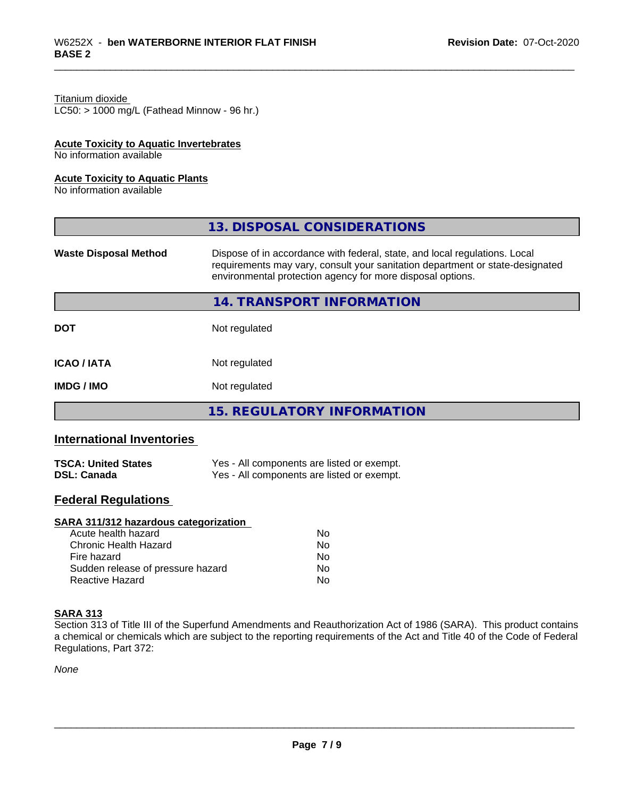### Titanium dioxide

 $LC50:$  > 1000 mg/L (Fathead Minnow - 96 hr.)

#### **Acute Toxicity to Aquatic Invertebrates**

No information available

#### **Acute Toxicity to Aquatic Plants**

No information available

|                              | 13. DISPOSAL CONSIDERATIONS                                                                                                                                                                                               |
|------------------------------|---------------------------------------------------------------------------------------------------------------------------------------------------------------------------------------------------------------------------|
| <b>Waste Disposal Method</b> | Dispose of in accordance with federal, state, and local regulations. Local<br>requirements may vary, consult your sanitation department or state-designated<br>environmental protection agency for more disposal options. |
|                              | 14. TRANSPORT INFORMATION                                                                                                                                                                                                 |
| <b>DOT</b>                   | Not regulated                                                                                                                                                                                                             |
| <b>ICAO/IATA</b>             | Not regulated                                                                                                                                                                                                             |
| <b>IMDG / IMO</b>            | Not regulated                                                                                                                                                                                                             |
|                              | <b>15. REGULATORY INFORMATION</b>                                                                                                                                                                                         |

### **International Inventories**

| <b>TSCA: United States</b> | Yes - All components are listed or exempt. |
|----------------------------|--------------------------------------------|
| <b>DSL: Canada</b>         | Yes - All components are listed or exempt. |

### **Federal Regulations**

#### **SARA 311/312 hazardous categorization**

| Acute health hazard               | No. |
|-----------------------------------|-----|
| Chronic Health Hazard             | N٥  |
| Fire hazard                       | Nο  |
| Sudden release of pressure hazard | Nο  |
| Reactive Hazard                   | N٥  |

#### **SARA 313**

Section 313 of Title III of the Superfund Amendments and Reauthorization Act of 1986 (SARA). This product contains a chemical or chemicals which are subject to the reporting requirements of the Act and Title 40 of the Code of Federal Regulations, Part 372:

*None*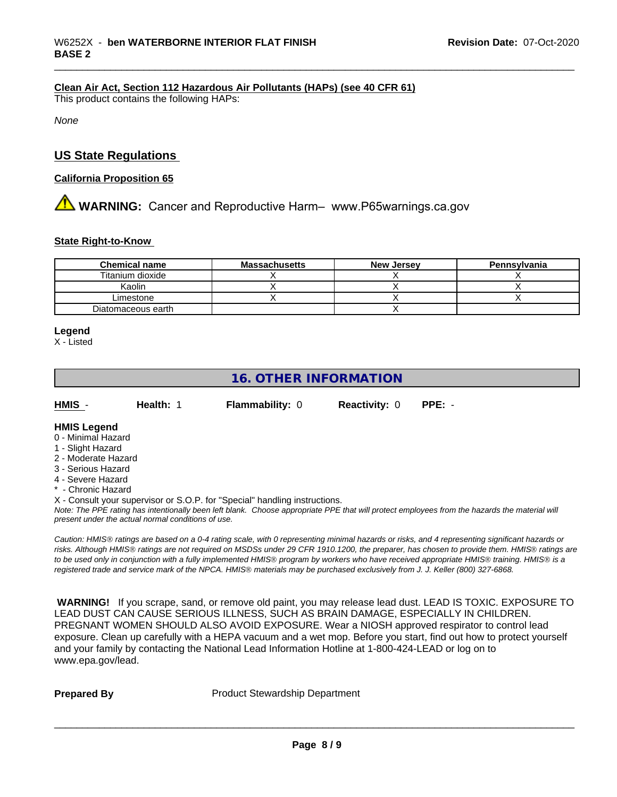#### **Clean Air Act,Section 112 Hazardous Air Pollutants (HAPs) (see 40 CFR 61)**

This product contains the following HAPs:

*None*

### **US State Regulations**

#### **California Proposition 65**

## **AVIMARNING:** Cancer and Reproductive Harm– www.P65warnings.ca.gov

#### **State Right-to-Know**

| <b>Chemical name</b> | <b>Massachusetts</b> | <b>New Jersey</b> | Pennsylvania |
|----------------------|----------------------|-------------------|--------------|
| Titanium dioxide     |                      |                   |              |
| Kaolin               |                      |                   |              |
| Limestone            |                      |                   |              |
| Diatomaceous earth   |                      |                   |              |

#### **Legend**

X - Listed

### **16. OTHER INFORMATION**

| HMIS               | Health: | <b>Flammability: 0</b> | <b>Reactivity: 0</b> | $PPE: -$ |
|--------------------|---------|------------------------|----------------------|----------|
| <b>HMIS Legend</b> |         |                        |                      |          |

#### 0 - Minimal Hazard

- 1 Slight Hazard
- 2 Moderate Hazard
- 3 Serious Hazard
- 4 Severe Hazard
- \* Chronic Hazard

X - Consult your supervisor or S.O.P. for "Special" handling instructions.

*Note: The PPE rating has intentionally been left blank. Choose appropriate PPE that will protect employees from the hazards the material will present under the actual normal conditions of use.*

*Caution: HMISÒ ratings are based on a 0-4 rating scale, with 0 representing minimal hazards or risks, and 4 representing significant hazards or risks. Although HMISÒ ratings are not required on MSDSs under 29 CFR 1910.1200, the preparer, has chosen to provide them. HMISÒ ratings are to be used only in conjunction with a fully implemented HMISÒ program by workers who have received appropriate HMISÒ training. HMISÒ is a registered trade and service mark of the NPCA. HMISÒ materials may be purchased exclusively from J. J. Keller (800) 327-6868.*

 **WARNING!** If you scrape, sand, or remove old paint, you may release lead dust. LEAD IS TOXIC. EXPOSURE TO LEAD DUST CAN CAUSE SERIOUS ILLNESS, SUCH AS BRAIN DAMAGE, ESPECIALLY IN CHILDREN. PREGNANT WOMEN SHOULD ALSO AVOID EXPOSURE.Wear a NIOSH approved respirator to control lead exposure. Clean up carefully with a HEPA vacuum and a wet mop. Before you start, find out how to protect yourself and your family by contacting the National Lead Information Hotline at 1-800-424-LEAD or log on to www.epa.gov/lead.

**Prepared By** Product Stewardship Department